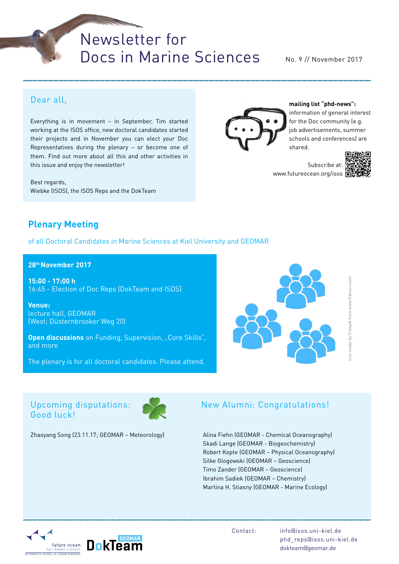# Newsletter for Docs in Marine Sciences

No. 9 // November 2017

## Dear all,

Everything is in movement – in September, Tim started working at the ISOS office, new doctoral candidates started their projects and in November you can elect your Doc Representatives during the plenary – or become one of them. Find out more about all this and other activities in this issue and enjoy the newsletter!

Best regards, Wiebke (ISOS), the ISOS Reps and the DokTeam



**mailing list "phd-news":** information of general interest

for the Doc community (e.g. job advertisements, summer schools and conferences) are shared.

Subscribe at: www.futureocean.org/isos



**Plenary Meeting**

of all Doctoral Candidates in Marine Sciences at Kiel University and GEOMAR

**28th November 2017**

**15:00 - 17:00 h**  16:45 - Election of Doc Reps (DokTeam and ISOS)

**Venue:**  lecture hall, GEOMAR (West; Düsternbrooker Weg 20)

**Open discussions** on Funding, Supervision, "Core Skills", and more

The plenary is for all doctoral candidates. Please attend.



## Upcoming disputations: Good luck!



Zhaoyang Song (23.11.17; GEOMAR – Meteorology)

## New Alumni: Congratulations!

Alina Fiehn (GEOMAR - Chemical Oceanography) Skadi Lange (GEOMAR - Biogeochemistry) Robert Kopte (GEOMAR – Physical Oceanography) Silke Glogowski (GEOMAR – Geoscience) Timo Zander (GEOMAR – Geoscience) Ibrahim Sadiek (GEOMAR – Chemistry) Martina H. Stiasny (GEOMAR - Marine Ecology)

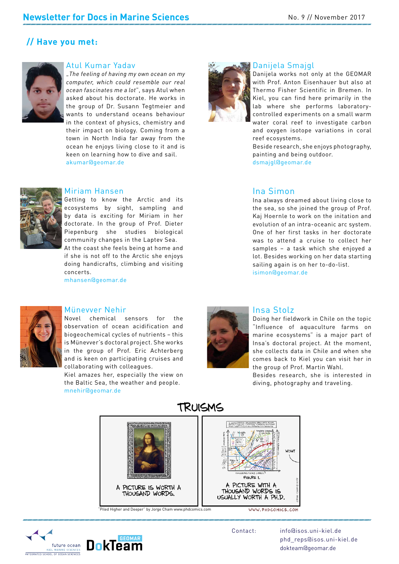## **// Have you met:**



#### Atul Kumar Yadav

"*The feeling of having my own ocean on my computer, which could resemble our real ocean fascinates me a lot*", says Atul when asked about his doctorate. He works in the group of Dr. Susann Tegtmeier and wants to understand oceans behaviour in the context of physics, chemistry and their impact on biology. Coming from a town in North India far away from the ocean he enjoys living close to it and is keen on learning how to dive and sail. akumar@geomar.de



#### Miriam Hansen

Getting to know the Arctic and its ecosystems by sight, sampling and by data is exciting for Miriam in her doctorate. In the group of Prof. Dieter Piepenburg she studies biological community changes in the Laptev Sea.

At the coast she feels being at home and if she is not off to the Arctic she enjoys doing handicrafts, climbing and visiting concerts.

mhansen@geomar.de



#### Münevver Nehir

Novel chemical sensors for the observation of ocean acidification and biogeochemical cycles of nutrients – this is Münevver's doctoral project. She works in the group of Prof. Eric Achterberg and is keen on participating cruises and collaborating with colleagues.

Kiel amazes her, especially the view on the Baltic Sea, the weather and people. mnehir@geomar.de



#### Insa Stolz

ms on<br>part of<br>oment,<br>en she<br>her in Doing her fieldwork in Chile on the topic "Influence of aquaculture farms on marine ecosystems" is a major part of Insa's doctoral project. At the moment, she collects data in Chile and when she comes back to Kiel you can visit her in the group of Prof. Martin Wahl.

Besides research, she is interested in diving, photography and traveling.



"Piled Higher and Deeper" by Jorge Cham www.phdcomics.com



Contact: info@isos.uni-kiel.de phd\_reps@isos.uni-kiel.de dokteam@geomar.de



## Danijela Smajgl

Danijela works not only at the GEOMAR with Prof. Anton Eisenhauer but also at Thermo Fisher Scientific in Bremen. In Kiel, you can find here primarily in the lab where she performs laboratorycontrolled experiments on a small warm water coral reef to investigate carbon and oxygen isotope variations in coral reef ecosystems.

Beside research, she enjoys photography, painting and being outdoor.

dsmajgl@geomar.de

### Ina Simon

 DRAFT Ina always dreamed about living close to the sea, so she joined the group of Prof. Kaj Hoernle to work on the initation and evolution of an intra-oceanic arc system. One of her first tasks in her doctorate was to attend a cruise to collect her samples – a task which she enjoyed a lot. Besides working on her data starting sailing again is on her to-do-list. isimon@geomar.de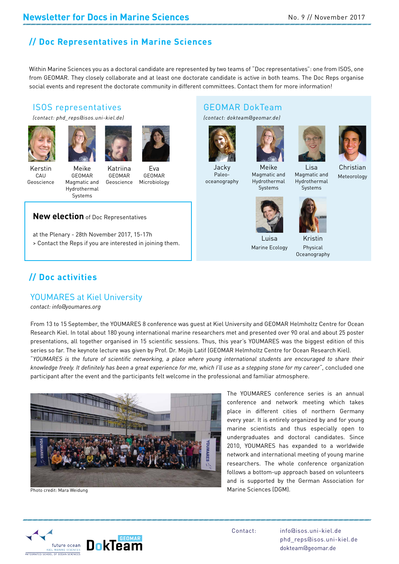# **// Doc Representatives in Marine Sciences**

Within Marine Sciences you as a doctoral candidate are represented by two teams of "Doc representatives": one from ISOS, one from GEOMAR. They closely collaborate and at least one doctorate candidate is active in both teams. The Doc Reps organise social events and represent the doctorate community in different committees. Contact them for more information!

## ISOS representatives

*(contact: phd\_reps@isos.uni-kiel.de)* 







Kerstin **CAU** Geoscience

Meike GEOMAR Magmatic and Hydrothermal

Katriina GEOMAR Geoscience

Eva GEOMAR Microbiology

#### **New election** of Doc Representatives

Systems

at the Plenary - 28th November 2017, 15-17h > Contact the Reps if you are interested in joining them.

# **// Doc activities**

#### YOUMARES at Kiel University

*contact: info@youmares.org*

cean<br>6 this<br>f this<br>*their* From 13 to 15 September, the YOUMARES 8 conference was guest at Kiel University and GEOMAR Helmholtz Centre for Ocean Research Kiel. In total about 180 young international marine researchers met and presented over 90 oral and about 25 poster presentations, all together organised in 15 scientific sessions. Thus, this year's YOUMARES was the biggest edition of this series so far. The keynote lecture was given by Prof. Dr. Mojib Latif (GEOMAR Helmholtz Centre for Ocean Research Kiel).

"*YOUMARES is the future of scientific networking, a place where young international students are encouraged to share their knowledge freely. It definitely has been a great experience for me, which I'll use as a stepping stone for my career*", concluded one participant after the event and the participants felt welcome in the professional and familiar atmosphere.



Photo credit: Mara Weidung

GEOMAR DokTeam *(contact: dokteam@geomar.de)*



Jacky Paleooceanography



Meike Magmatic and Hydrothermal Systems





prology<br>Drama<br>Dramata

Christian Meteorology Lisa Magmatic and Hydrothermal Systems



Luisa Marine Ecology



Kristin Physical



Oceanography



The YOUMARES conference series is an annual conference and network meeting which takes place in different cities of northern Germany every year. It is entirely organized by and for young marine scientists and thus especially open to undergraduates and doctoral candidates. Since 2010, YOUMARES has expanded to a worldwide network and international meeting of young marine

researchers. The whole conference organization follows a bottom-up approach based on volunteers and is supported by the German Association for Marine Sciences (DGM).

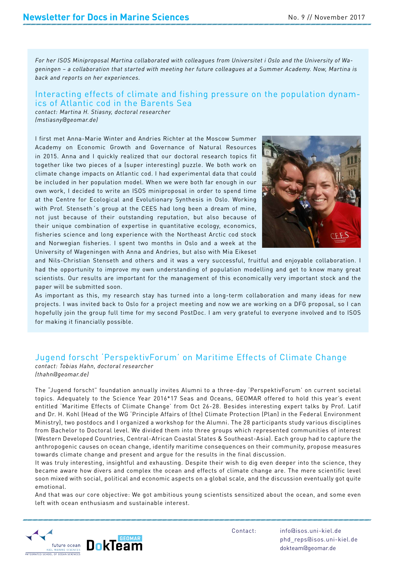*For her ISOS Miniproposal Martina collaborated with colleagues from Universitet i Oslo and the University of Wageningen – a collaboration that started with meeting her future colleagues at a Summer Academy. Now, Martina is back and reports on her experiences.*

# Interacting effects of climate and fishing pressure on the population dynam- ics of Atlantic cod in the Barents Sea

*contact: Martina H. Stiasny, doctoral researcher (mstiasny@geomar.de)*

I first met Anna-Marie Winter and Andries Richter at the Moscow Summer Academy on Economic Growth and Governance of Natural Resources in 2015. Anna and I quickly realized that our doctoral research topics fit together like two pieces of a (super interesting) puzzle. We both work on climate change impacts on Atlantic cod. I had experimental data that could be included in her population model. When we were both far enough in our own work, I decided to write an ISOS miniproposal in order to spend time at the Centre for Ecological and Evolutionary Synthesis in Oslo. Working with Prof. Stenseth's group at the CEES had long been a dream of mine, not just because of their outstanding reputation, but also because of their unique combination of expertise in quantitative ecology, economics, fisheries science and long experience with the Northeast Arctic cod stock and Norwegian fisheries. I spent two months in Oslo and a week at the University of Wageningen with Anna and Andries, but also with Mia Eikeset



and Nils-Christian Stenseth and others and it was a very successful, fruitful and enjoyable collaboration. I had the opportunity to improve my own understanding of population modelling and get to know many great scientists. Our results are important for the management of this economically very important stock and the paper will be submitted soon.

As important as this, my research stay has turned into a long-term collaboration and many ideas for new projects. I was invited back to Oslo for a project meeting and now we are working on a DFG proposal, so I can hopefully join the group full time for my second PostDoc. I am very grateful to everyone involved and to ISOS for making it financially possible.

## Jugend forscht 'PerspektivForum' on Maritime Effects of Climate Change

*contact: Tobias Hahn, doctoral researcher (thahn@geomar.de)*

The "Jugend forscht" foundation annually invites Alumni to a three-day 'PerspektivForum' on current societal topics. Adequately to the Science Year 2016\*17 Seas and Oceans, GEOMAR offered to hold this year's event entitled 'Maritime Effects of Climate Change' from Oct 26-28. Besides interesting expert talks by Prof. Latif and Dr. H. Kohl (Head of the WG 'Principle Affairs of (the) Climate Protection (Plan) in the Federal Environment Ministry), two postdocs and I organized a workshop for the Alumni. The 28 participants study various disciplines from Bachelor to Doctoral level. We divided them into three groups which represented communities of interest (Western Developed Countries, Central-African Coastal States & Southeast-Asia). Each group had to capture the anthropogenic causes on ocean change, identify maritime consequences on their community, propose measures towards climate change and present and argue for the results in the final discussion.

It was truly interesting, insightful and exhausting. Despite their wish to dig even deeper into the science, they became aware how divers and complex the ocean and effects of climate change are. The mere scientific level soon mixed with social, political and economic aspects on a global scale, and the discussion eventually got quite emotional.

And that was our core objective: We got ambitious young scientists sensitized about the ocean, and some even left with ocean enthusiasm and sustainable interest.

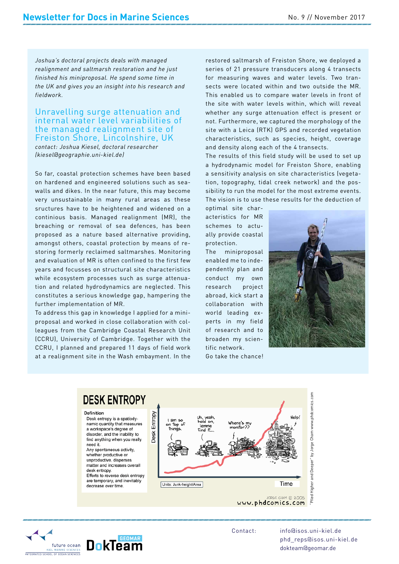*Joshua's doctoral projects deals with managed realignment and saltmarsh restoration and he just finished his miniproposal. He spend some time in the UK and gives you an insight into his research and fieldwork.*

#### Unravelling surge attenuation and internal water level variabilities of the managed realignment site of Freiston Shore, Lincolnshire, UK

*contact: Joshua Kiesel, doctoral researcher (kiesel@geographie.uni-kiel.de)*

So far, coastal protection schemes have been based on hardened and engineered solutions such as seawalls and dikes. In the near future, this may become very unsustainable in many rural areas as these sructures have to be heightened and widened on a continious basis. Managed realignment (MR), the breaching or removal of sea defences, has been proposed as a nature based alternative providing, amongst others, coastal protection by means of restoring formerly reclaimed saltmarshes. Monitoring and evaluation of MR is often confined to the first few years and focusses on structural site characteristics while ecosystem processes such as surge attenuation and related hydrodynamics are neglected. This constitutes a serious knowledge gap, hampering the further implementation of MR.

To address this gap in knowledge I applied for a miniproposal and worked in close collaboration with colleagues from the Cambridge Coastal Research Unit (CCRU), University of Cambridge. Together with the CCRU, I planned and prepared 11 days of field work at a realignment site in the Wash embayment. In the

restored saltmarsh of Freiston Shore, we deployed a series of 21 pressure transducers along 4 transects for measuring waves and water levels. Two transects were located within and two outside the MR. This enabled us to compare water levels in front of the site with water levels within, which will reveal whether any surge attenuation effect is present or not. Furthermore, we captured the morphology of the site with a Leica (RTK) GPS and recorded vegetation characteristics, such as species, height, coverage and density along each of the 4 transects.

nd<br>nts.<br>n of The results of this field study will be used to set up a hydrodynamic model for Freiston Shore, enabling a sensitivity analysis on site characteristics (vegetation, topography, tidal creek network) and the possibility to run the model for the most extreme events. The vision is to use these results for the deduction of

optimal site characteristics for MR schemes to actually provide coastal protection.

The miniproposal enabled me to independently plan and conduct my own research project abroad, kick start a collaboration with world leading experts in my field of research and to broaden my scientific network.

Go take the chance!